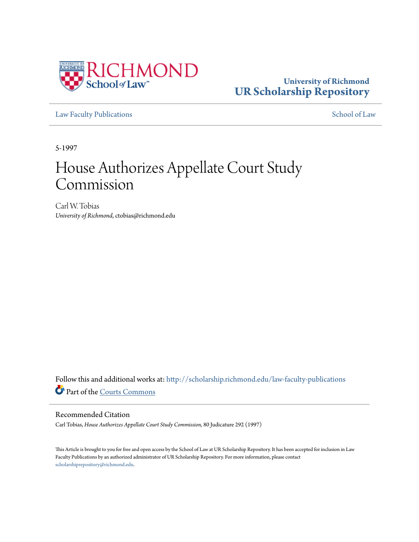

## **University of Richmond [UR Scholarship Repository](http://scholarship.richmond.edu?utm_source=scholarship.richmond.edu%2Flaw-faculty-publications%2F1057&utm_medium=PDF&utm_campaign=PDFCoverPages)**

[Law Faculty Publications](http://scholarship.richmond.edu/law-faculty-publications?utm_source=scholarship.richmond.edu%2Flaw-faculty-publications%2F1057&utm_medium=PDF&utm_campaign=PDFCoverPages) [School of Law](http://scholarship.richmond.edu/law?utm_source=scholarship.richmond.edu%2Flaw-faculty-publications%2F1057&utm_medium=PDF&utm_campaign=PDFCoverPages)

5-1997

# House Authorizes Appellate Court Study Commission

Carl W. Tobias *University of Richmond*, ctobias@richmond.edu

Follow this and additional works at: [http://scholarship.richmond.edu/law-faculty-publications](http://scholarship.richmond.edu/law-faculty-publications?utm_source=scholarship.richmond.edu%2Flaw-faculty-publications%2F1057&utm_medium=PDF&utm_campaign=PDFCoverPages) Part of the [Courts Commons](http://network.bepress.com/hgg/discipline/839?utm_source=scholarship.richmond.edu%2Flaw-faculty-publications%2F1057&utm_medium=PDF&utm_campaign=PDFCoverPages)

#### Recommended Citation

Carl Tobias, *House Authorizes Appellate Court Study Commission,* 80 Judicature 292 (1997)

This Article is brought to you for free and open access by the School of Law at UR Scholarship Repository. It has been accepted for inclusion in Law Faculty Publications by an authorized administrator of UR Scholarship Repository. For more information, please contact [scholarshiprepository@richmond.edu.](mailto:scholarshiprepository@richmond.edu)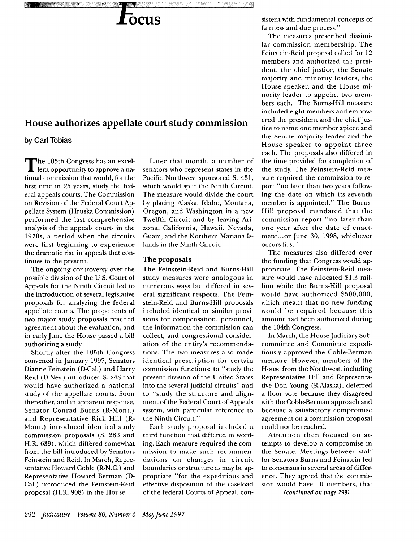# **OCUS**

### **House authorizes appellate court study commission**

**by Carl Tobias** 

Pi

**Liber** Grand

na matangka

The 105th Congress has an excel-lent opportunity to approve a national commission that would, for the first time in 25 years, study the federal appeals courts. The Commission on Revision of the Federal Court Appellate System (Hruska Commission) performed the last comprehensive analysis of the appeals courts in the 1970s, a period when the circuits were first beginning to experience the dramatic rise in appeals that continues to the present.

The ongoing controversy over the possible division of the U.S. Court of Appeals for the Ninth Circuit led to the introduction of several legislative proposals for analyzing the federal appellate courts. The proponents of two major study proposals reached agreement about the evaluation, and in early June the House passed a bill authorizing a study.

Shortly after the 105th Congress convened in January 1997, Senators Dianne Feinstein (D-Cal.) and Harry Reid (D-Nev.) introduced S. 248 that would have authorized a national study of the appellate courts. Soon thereafter, and in apparent response, Senator Conrad Burns (R-Mont.) and Representative Rick Hill (R-Mont.) introduced identical study commission proposals (S. 283 and H.R. 639), which differed somewhat from the bill introduced by Senators Feinstein and Reid. In March, Representative Howard Coble (R-N.C.) and Representative Howard Berman (D-Cal.) introduced the Feinstein-Reid proposal (H.R. 908) in the House.

Later that month, a number of senators who represent states in the Pacific Northwest sponsored S. 431, which would split the Ninth Circuit. The measure would divide the court by placing Alaska, Idaho, Montana, Oregon, and Washington in a new Twelfth Circuit and by leaving Arizona, California, Hawaii, Nevada, Guam, and the Northern Mariana Islands in the Ninth Circuit.

tt vegate.

#### **The proposals**

The Feinstein-Reid and Burns-Hill study measures were analogous in numerous ways but differed in several significant respects. The Feinstein-Reid and Burns-Hill proposals included identical or similar provisions for compensation, personnel, the information the commission can collect, and congressional consideration of the entity's recommendations. The two measures also made identical prescription for certain commission functions: to "study the present division of the United States into the several judicial circuits" and to "study the structure and alignment of the Federal Court of Appeals system, with particular reference to the Ninth Circuit."

Each study proposal included a third function that differed in wording. Each measure required the commission to make such recommendations on changes in circuit boundaries or structure as may be appropriate "for the expeditious and effective disposition of the caseload of the federal Courts of Appeal, consistent with fundamental concepts of fairness and due process."

The measures prescribed dissimilar commission membership. The Feinstein-Reid proposal called for 12 members and authorized the president, the chief justice, the Senate majority and minority leaders, the House speaker, and the House minority leader to appoint two members each. The Burns-Hill measure included eight members and empowered the president and the chief justice to name one member apiece and the Senate majority leader and the House speaker to appoint three each. The proposals also differed in the time provided for completion of the study. The Feinstein-Reid measure required the commission to report "no later than two years following the date on which its seventh member is appointed." The Burns-Hill proposal mandated that the commission report "no later than one year after the date of enactment...or June 30, 1998, whichever occurs first."

The measures also differed over the funding that Congress would appropriate. The Feinstein-Reid measure would have allocated \$1.3 million while the Burns-Hill proposal would have authorized \$500,000, which meant that no new funding would be required because this amount had been authorized during the 104th Congress.

In March, the House Judiciary Subcommittee and Committee expeditiously approved the Coble-Berman measure. However, members of the House from the Northwest, including Representative Hill and Representative Don Young (R-Alaska), deferred a floor vote because they disagreed with the Coble-Berman approach and because a satisfactory compromise agreement on a commission proposal could not be reached.

Attention then focused on attempts to develop a compromise in the Senate. Meetings between staff for Senators Burns and Feinstein led to consensus in several areas of difference. They agreed that the commission would have 10 members, that

*(continued on page 299)*